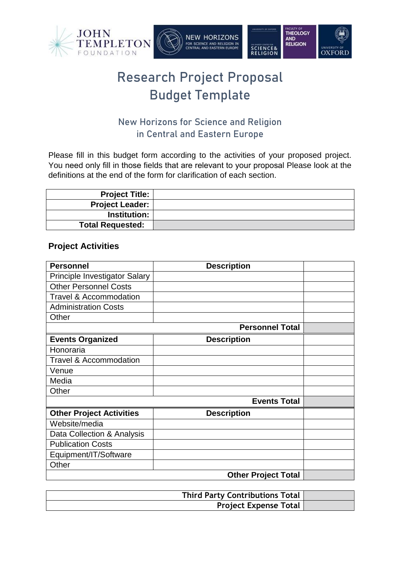

# Research Project Proposal Budget Template

### New Horizons for Science and Religion in Central and Eastern Europe

Please fill in this budget form according to the activities of your proposed project. You need only fill in those fields that are relevant to your proposal Please look at the definitions at the end of the form for clarification of each section.

| <b>Project Title:</b>   |  |
|-------------------------|--|
| <b>Project Leader:</b>  |  |
| <b>Institution:</b>     |  |
| <b>Total Requested:</b> |  |
|                         |  |

### **Project Activities**

| <b>Personnel</b>                     | <b>Description</b>         |  |
|--------------------------------------|----------------------------|--|
| <b>Principle Investigator Salary</b> |                            |  |
| <b>Other Personnel Costs</b>         |                            |  |
| <b>Travel &amp; Accommodation</b>    |                            |  |
| <b>Administration Costs</b>          |                            |  |
| Other                                |                            |  |
|                                      | <b>Personnel Total</b>     |  |
| <b>Events Organized</b>              | <b>Description</b>         |  |
| Honoraria                            |                            |  |
| <b>Travel &amp; Accommodation</b>    |                            |  |
| Venue                                |                            |  |
| Media                                |                            |  |
| Other                                |                            |  |
|                                      | <b>Events Total</b>        |  |
| <b>Other Project Activities</b>      | <b>Description</b>         |  |
| Website/media                        |                            |  |
| Data Collection & Analysis           |                            |  |
| <b>Publication Costs</b>             |                            |  |
| Equipment/IT/Software                |                            |  |
| Other                                |                            |  |
|                                      | <b>Other Project Total</b> |  |

| <b>Third Party Contributions Total</b> |  |
|----------------------------------------|--|
| <b>Project Expense Total</b>           |  |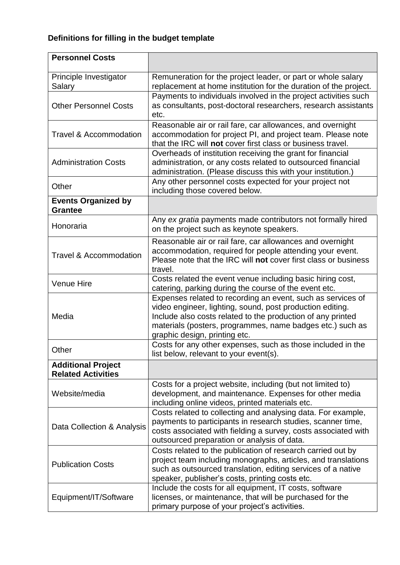## **Definitions for filling in the budget template**

| <b>Personnel Costs</b>                                 |                                                                                                                                                                                                                                                                                       |
|--------------------------------------------------------|---------------------------------------------------------------------------------------------------------------------------------------------------------------------------------------------------------------------------------------------------------------------------------------|
| Principle Investigator<br>Salary                       | Remuneration for the project leader, or part or whole salary<br>replacement at home institution for the duration of the project.                                                                                                                                                      |
| <b>Other Personnel Costs</b>                           | Payments to individuals involved in the project activities such<br>as consultants, post-doctoral researchers, research assistants<br>etc.                                                                                                                                             |
| <b>Travel &amp; Accommodation</b>                      | Reasonable air or rail fare, car allowances, and overnight<br>accommodation for project PI, and project team. Please note<br>that the IRC will not cover first class or business travel.                                                                                              |
| <b>Administration Costs</b>                            | Overheads of institution receiving the grant for financial<br>administration, or any costs related to outsourced financial<br>administration. (Please discuss this with your institution.)                                                                                            |
| Other                                                  | Any other personnel costs expected for your project not<br>including those covered below.                                                                                                                                                                                             |
| <b>Events Organized by</b><br><b>Grantee</b>           |                                                                                                                                                                                                                                                                                       |
| Honoraria                                              | Any ex gratia payments made contributors not formally hired<br>on the project such as keynote speakers.                                                                                                                                                                               |
| <b>Travel &amp; Accommodation</b>                      | Reasonable air or rail fare, car allowances and overnight<br>accommodation, required for people attending your event.<br>Please note that the IRC will not cover first class or business<br>travel.                                                                                   |
| Venue Hire                                             | Costs related the event venue including basic hiring cost,<br>catering, parking during the course of the event etc.                                                                                                                                                                   |
| Media                                                  | Expenses related to recording an event, such as services of<br>video engineer, lighting, sound, post production editing.<br>Include also costs related to the production of any printed<br>materials (posters, programmes, name badges etc.) such as<br>graphic design, printing etc. |
| Other                                                  | Costs for any other expenses, such as those included in the<br>list below, relevant to your event(s).                                                                                                                                                                                 |
| <b>Additional Project</b><br><b>Related Activities</b> |                                                                                                                                                                                                                                                                                       |
| Website/media                                          | Costs for a project website, including (but not limited to)<br>development, and maintenance. Expenses for other media<br>including online videos, printed materials etc.                                                                                                              |
| Data Collection & Analysis                             | Costs related to collecting and analysing data. For example,<br>payments to participants in research studies, scanner time,<br>costs associated with fielding a survey, costs associated with<br>outsourced preparation or analysis of data.                                          |
| <b>Publication Costs</b>                               | Costs related to the publication of research carried out by<br>project team including monographs, articles, and translations<br>such as outsourced translation, editing services of a native<br>speaker, publisher's costs, printing costs etc.                                       |
| Equipment/IT/Software                                  | Include the costs for all equipment, IT costs, software<br>licenses, or maintenance, that will be purchased for the<br>primary purpose of your project's activities.                                                                                                                  |